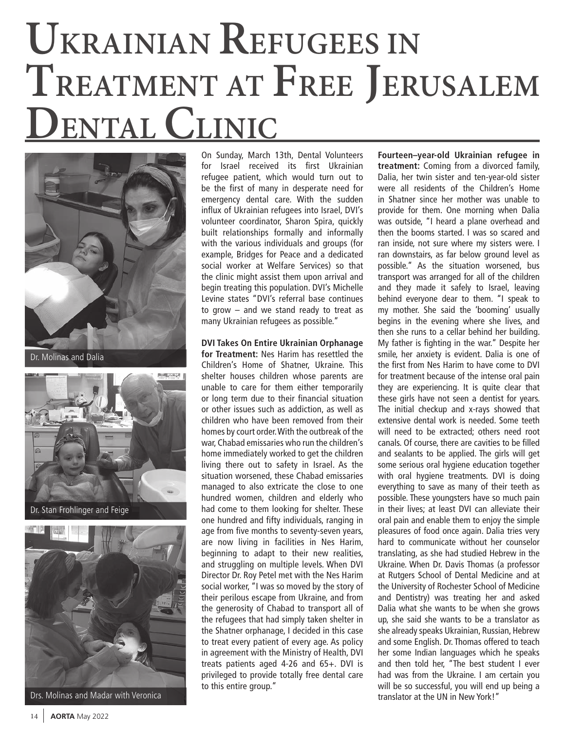## **UKRAINIAN REFUGEES IN TREATMENT AT FREE JERUSALEM DENTAL CLINIC**



Dr. Molinas and Dalia





Drs. Molinas and Madar with Veronica

On Sunday, March 13th, Dental Volunteers for Israel received its first Ukrainian refugee patient, which would turn out to be the first of many in desperate need for emergency dental care. With the sudden influx of Ukrainian refugees into Israel, DVI's volunteer coordinator, Sharon Spira, quickly built relationships formally and informally with the various individuals and groups (for example, Bridges for Peace and a dedicated social worker at Welfare Services) so that the clinic might assist them upon arrival and begin treating this population. DVI's Michelle Levine states "DVI's referral base continues to grow – and we stand ready to treat as many Ukrainian refugees as possible."

**DVI Takes On Entire Ukrainian Orphanage for Treatment:** Nes Harim has resettled the Children's Home of Shatner, Ukraine. This shelter houses children whose parents are unable to care for them either temporarily or long term due to their financial situation or other issues such as addiction, as well as children who have been removed from their homes by court order. With the outbreak of the war, Chabad emissaries who run the children's home immediately worked to get the children living there out to safety in Israel. As the situation worsened, these Chabad emissaries managed to also extricate the close to one hundred women, children and elderly who had come to them looking for shelter. These one hundred and fifty individuals, ranging in age from five months to seventy-seven years, are now living in facilities in Nes Harim, beginning to adapt to their new realities, and struggling on multiple levels. When DVI Director Dr. Roy Petel met with the Nes Harim social worker, "I was so moved by the story of their perilous escape from Ukraine, and from the generosity of Chabad to transport all of the refugees that had simply taken shelter in the Shatner orphanage, I decided in this case to treat every patient of every age. As policy in agreement with the Ministry of Health, DVI treats patients aged 4-26 and 65+. DVI is privileged to provide totally free dental care to this entire group."

**Fourteen–year-old Ukrainian refugee in treatment:** Coming from a divorced family, Dalia, her twin sister and ten-year-old sister were all residents of the Children's Home in Shatner since her mother was unable to provide for them. One morning when Dalia was outside, "I heard a plane overhead and then the booms started. I was so scared and ran inside, not sure where my sisters were. I ran downstairs, as far below ground level as possible." As the situation worsened, bus transport was arranged for all of the children and they made it safely to Israel, leaving behind everyone dear to them. "I speak to my mother. She said the 'booming' usually begins in the evening where she lives, and then she runs to a cellar behind her building. My father is fighting in the war." Despite her smile, her anxiety is evident. Dalia is one of the first from Nes Harim to have come to DVI for treatment because of the intense oral pain they are experiencing. It is quite clear that these girls have not seen a dentist for years. The initial checkup and x-rays showed that extensive dental work is needed. Some teeth will need to be extracted; others need root canals. Of course, there are cavities to be filled and sealants to be applied. The girls will get some serious oral hygiene education together with oral hygiene treatments. DVI is doing everything to save as many of their teeth as possible. These youngsters have so much pain in their lives; at least DVI can alleviate their oral pain and enable them to enjoy the simple pleasures of food once again. Dalia tries very hard to communicate without her counselor translating, as she had studied Hebrew in the Ukraine. When Dr. Davis Thomas (a professor at Rutgers School of Dental Medicine and at the University of Rochester School of Medicine and Dentistry) was treating her and asked Dalia what she wants to be when she grows up, she said she wants to be a translator as she already speaks Ukrainian, Russian, Hebrew and some English. Dr. Thomas offered to teach her some Indian languages which he speaks and then told her, "The best student I ever had was from the Ukraine. I am certain you will be so successful, you will end up being a translator at the UN in New York!"